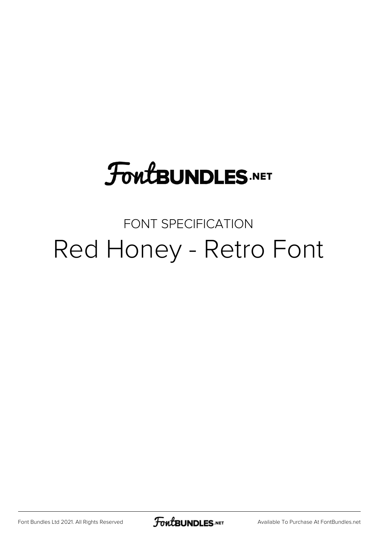### **FoutBUNDLES.NET**

#### FONT SPECIFICATION Red Honey - Retro Font

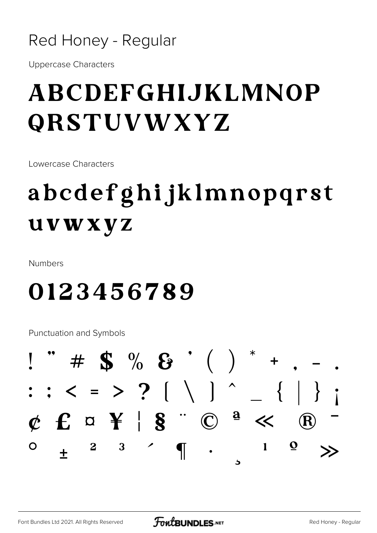#### Red Honey - Regular

**Uppercase Characters** 

#### ABCDEFGHIJKLMNOP **ORSTUVWXYZ**

Lowercase Characters

### abcdefghijklmnopqrst uvwxyz

**Numbers** 

#### 0123456789

**Punctuation and Symbols** 

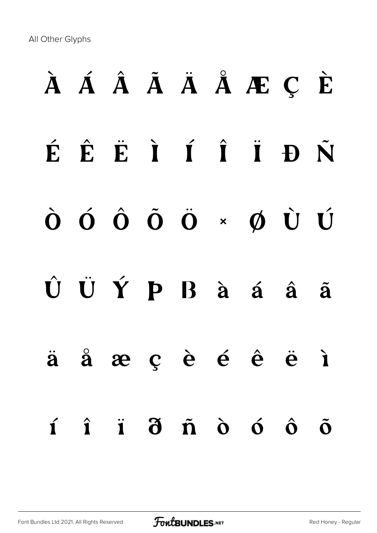All Other Glyphs

# À Á Â Ã Ä Å Æ Ç È É Ê Ë Ì Í Î Ï Ð Ñ Ò Ó Ô Õ Ö × Ø Ù Ú Û Ü Ý Þ ß à á â ã ä å æ ç è é ê ë ì í î ï ð ñ ò ó ô õ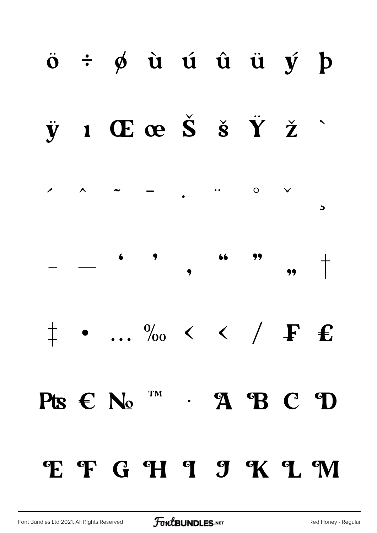